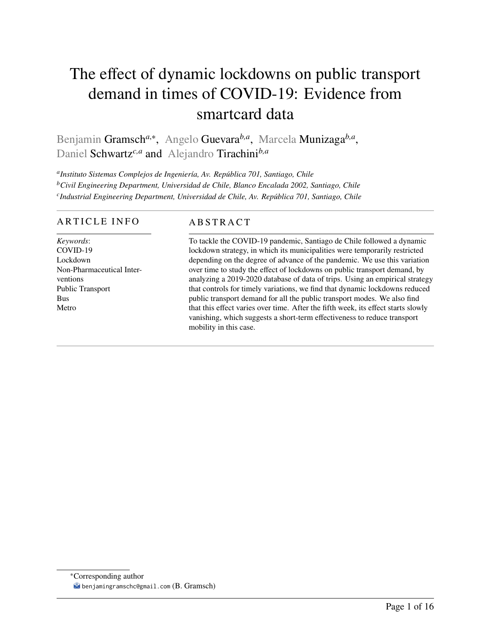# <span id="page-0-0"></span>The effect of dynamic lockdowns on public transport demand in times of COVID-19: Evidence from smartcard data

Benjamin Gramsch<sup>a,∗</sup>, Angelo Guevara<sup>b,a</sup>, Marcela Munizaga<sup>b,a</sup>, Daniel Schwartz*c,a* and Alejandro Tirachini*b,a*

*a Instituto Sistemas Complejos de Ingeniería, Av. República 701, Santiago, Chile <sup>b</sup>Civil Engineering Department, Universidad de Chile, Blanco Encalada 2002, Santiago, Chile c Industrial Engineering Department, Universidad de Chile, Av. República 701, Santiago, Chile*

## ARTICLE INFO

*Keywords*: COVID-19 Lockdown Non-Pharmaceutical Interventions Public Transport Bus Metro

# **ABSTRACT**

To tackle the COVID-19 pandemic, Santiago de Chile followed a dynamic lockdown strategy, in which its municipalities were temporarily restricted depending on the degree of advance of the pandemic. We use this variation over time to study the effect of lockdowns on public transport demand, by analyzing a 2019-2020 database of data of trips. Using an empirical strategy that controls for timely variations, we find that dynamic lockdowns reduced public transport demand for all the public transport modes. We also find that this effect varies over time. After the fifth week, its effect starts slowly vanishing, which suggests a short-term effectiveness to reduce transport mobility in this case.

<sup>∗</sup>Corresponding author benjamingramschc@gmail.com (B. Gramsch)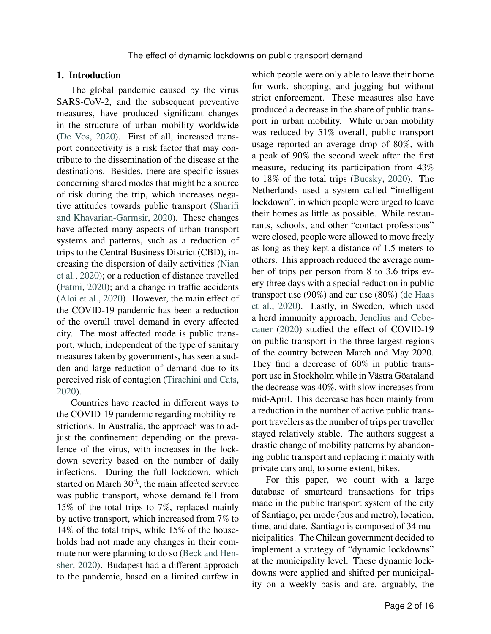## **1. Introduction**

The global pandemic caused by the virus SARS-CoV-2, and the subsequent preventive measures, have produced significant changes in the structure of urban mobility worldwide [\(De Vos,](#page-13-0) [2020\)](#page-13-0). First of all, increased transport connectivity is a risk factor that may contribute to the dissemination of the disease at the destinations. Besides, there are specific issues concerning shared modes that might be a source of risk during the trip, which increases negative attitudes towards public transport [\(Sharifi](#page-14-0) [and Khavarian-Garmsir,](#page-14-0) [2020\)](#page-14-0). These changes have affected many aspects of urban transport systems and patterns, such as a reduction of trips to the Central Business District (CBD), increasing the dispersion of daily activities [\(Nian](#page-14-1) [et al.,](#page-14-1) [2020\)](#page-14-1); or a reduction of distance travelled [\(Fatmi,](#page-13-1) [2020\)](#page-13-1); and a change in traffic accidents [\(Aloi et al.,](#page-13-2) [2020\)](#page-13-2). However, the main effect of the COVID-19 pandemic has been a reduction of the overall travel demand in every affected city. The most affected mode is public transport, which, independent of the type of sanitary measures taken by governments, has seen a sudden and large reduction of demand due to its perceived risk of contagion [\(Tirachini and Cats,](#page-14-2) [2020\)](#page-14-2).

Countries have reacted in different ways to the COVID-19 pandemic regarding mobility restrictions. In Australia, the approach was to adjust the confinement depending on the prevalence of the virus, with increases in the lockdown severity based on the number of daily infections. During the full lockdown, which started on March 30<sup>th</sup>, the main affected service was public transport, whose demand fell from 15% of the total trips to 7%, replaced mainly by active transport, which increased from 7% to 14% of the total trips, while 15% of the households had not made any changes in their commute nor were planning to do so [\(Beck and Hen](#page-13-3)[sher,](#page-13-3) [2020\)](#page-13-3). Budapest had a different approach to the pandemic, based on a limited curfew in

which people were only able to leave their home for work, shopping, and jogging but without strict enforcement. These measures also have produced a decrease in the share of public transport in urban mobility. While urban mobility was reduced by 51% overall, public transport usage reported an average drop of 80%, with a peak of 90% the second week after the first measure, reducing its participation from 43% to 18% of the total trips [\(Bucsky,](#page-13-4) [2020\)](#page-13-4). The Netherlands used a system called "intelligent lockdown", in which people were urged to leave their homes as little as possible. While restaurants, schools, and other "contact professions" were closed, people were allowed to move freely as long as they kept a distance of 1.5 meters to others. This approach reduced the average number of trips per person from 8 to 3.6 trips every three days with a special reduction in public transport use (90%) and car use (80%) [\(de Haas](#page-13-5) [et al.,](#page-13-5) [2020\)](#page-13-5). Lastly, in Sweden, which used a herd immunity approach, [Jenelius and Cebe](#page-13-6)[cauer](#page-13-6) [\(2020\)](#page-13-6) studied the effect of COVID-19 on public transport in the three largest regions of the country between March and May 2020. They find a decrease of 60% in public transport use in Stockholm while in Västra Göataland the decrease was 40%, with slow increases from mid-April. This decrease has been mainly from a reduction in the number of active public transport travellers as the number of trips per traveller stayed relatively stable. The authors suggest a drastic change of mobility patterns by abandoning public transport and replacing it mainly with private cars and, to some extent, bikes.

For this paper, we count with a large database of smartcard transactions for trips made in the public transport system of the city of Santiago, per mode (bus and metro), location, time, and date. Santiago is composed of 34 municipalities. The Chilean government decided to implement a strategy of "dynamic lockdowns" at the municipality level. These dynamic lockdowns were applied and shifted per municipality on a weekly basis and are, arguably, the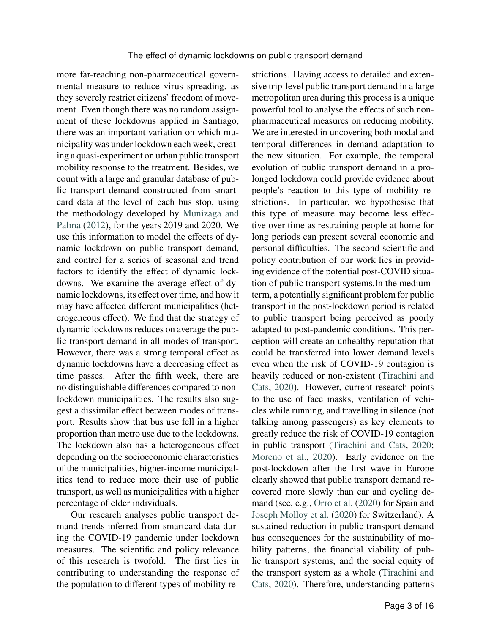more far-reaching non-pharmaceutical governmental measure to reduce virus spreading, as they severely restrict citizens' freedom of movement. Even though there was no random assignment of these lockdowns applied in Santiago, there was an important variation on which municipality was under lockdown each week, creating a quasi-experiment on urban public transport mobility response to the treatment. Besides, we count with a large and granular database of public transport demand constructed from smartcard data at the level of each bus stop, using the methodology developed by [Munizaga and](#page-14-3) [Palma](#page-14-3) [\(2012\)](#page-14-3), for the years 2019 and 2020. We use this information to model the effects of dynamic lockdown on public transport demand, and control for a series of seasonal and trend factors to identify the effect of dynamic lockdowns. We examine the average effect of dynamic lockdowns, its effect over time, and how it may have affected different municipalities (heterogeneous effect). We find that the strategy of dynamic lockdowns reduces on average the public transport demand in all modes of transport. However, there was a strong temporal effect as dynamic lockdowns have a decreasing effect as time passes. After the fifth week, there are no distinguishable differences compared to nonlockdown municipalities. The results also suggest a dissimilar effect between modes of transport. Results show that bus use fell in a higher proportion than metro use due to the lockdowns. The lockdown also has a heterogeneous effect depending on the socioeconomic characteristics of the municipalities, higher-income municipalities tend to reduce more their use of public transport, as well as municipalities with a higher percentage of elder individuals.

Our research analyses public transport demand trends inferred from smartcard data during the COVID-19 pandemic under lockdown measures. The scientific and policy relevance of this research is twofold. The first lies in contributing to understanding the response of the population to different types of mobility restrictions. Having access to detailed and extensive trip-level public transport demand in a large metropolitan area during this process is a unique powerful tool to analyse the effects of such nonpharmaceutical measures on reducing mobility. We are interested in uncovering both modal and temporal differences in demand adaptation to the new situation. For example, the temporal evolution of public transport demand in a prolonged lockdown could provide evidence about people's reaction to this type of mobility restrictions. In particular, we hypothesise that this type of measure may become less effective over time as restraining people at home for long periods can present several economic and personal difficulties. The second scientific and policy contribution of our work lies in providing evidence of the potential post-COVID situation of public transport systems.In the mediumterm, a potentially significant problem for public transport in the post-lockdown period is related to public transport being perceived as poorly adapted to post-pandemic conditions. This perception will create an unhealthy reputation that could be transferred into lower demand levels even when the risk of COVID-19 contagion is heavily reduced or non-existent [\(Tirachini and](#page-14-2) [Cats,](#page-14-2) [2020\)](#page-14-2). However, current research points to the use of face masks, ventilation of vehicles while running, and travelling in silence (not talking among passengers) as key elements to greatly reduce the risk of COVID-19 contagion in public transport [\(Tirachini and Cats,](#page-14-2) [2020;](#page-14-2) [Moreno et al.,](#page-13-7) [2020\)](#page-13-7). Early evidence on the post-lockdown after the first wave in Europe clearly showed that public transport demand recovered more slowly than car and cycling demand (see, e.g., [Orro et al.](#page-14-4) [\(2020\)](#page-14-4) for Spain and [Joseph Molloy et al.](#page-13-8) [\(2020\)](#page-13-8) for Switzerland). A sustained reduction in public transport demand has consequences for the sustainability of mobility patterns, the financial viability of public transport systems, and the social equity of the transport system as a whole [\(Tirachini and](#page-14-2) [Cats,](#page-14-2) [2020\)](#page-14-2). Therefore, understanding patterns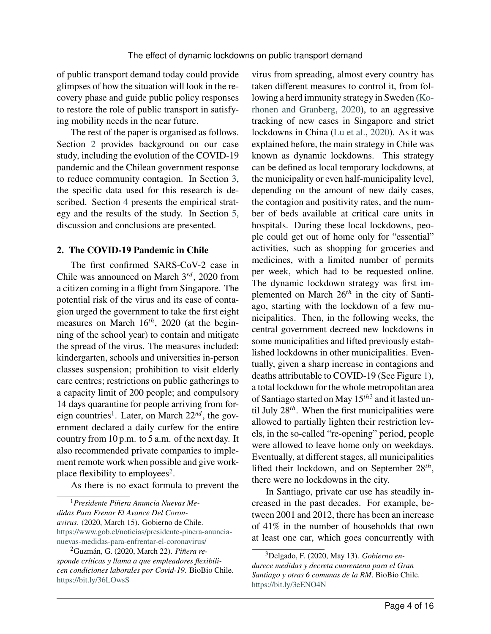of public transport demand today could provide glimpses of how the situation will look in the recovery phase and guide public policy responses to restore the role of public transport in satisfying mobility needs in the near future.

The rest of the paper is organised as follows. Section [2](#page-3-0) provides background on our case study, including the evolution of the COVID-19 pandemic and the Chilean government response to reduce community contagion. In Section [3,](#page-5-0) the specific data used for this research is described. Section [4](#page-6-0) presents the empirical strategy and the results of the study. In Section [5,](#page-11-0) discussion and conclusions are presented.

## <span id="page-3-0"></span>**2. The COVID-19 Pandemic in Chile**

The first confirmed SARS-CoV-2 case in Chile was announced on March 3<sup>rd</sup>, 2020 from a citizen coming in a flight from Singapore. The potential risk of the virus and its ease of contagion urged the government to take the first eight measures on March 16<sup>th</sup>, 2020 (at the beginning of the school year) to contain and mitigate the spread of the virus. The measures included: kindergarten, schools and universities in-person classes suspension; prohibition to visit elderly care centres; restrictions on public gatherings to a capacity limit of 200 people; and compulsory 14 days quarantine for people arriving from for-eign countries<sup>[1](#page-0-0)</sup>. Later, on March 22<sup>nd</sup>, the government declared a daily curfew for the entire country from 10 p.m. to 5 a.m. of the next day. It also recommended private companies to implement remote work when possible and give work-place flexibility to employees<sup>[2](#page-0-0)</sup>.

As there is no exact formula to prevent the

virus from spreading, almost every country has taken different measures to control it, from following a herd immunity strategy in Sweden [\(Ko](#page-13-9)[rhonen and Granberg,](#page-13-9) [2020\)](#page-13-9), to an aggressive tracking of new cases in Singapore and strict lockdowns in China [\(Lu et al.,](#page-13-10) [2020\)](#page-13-10). As it was explained before, the main strategy in Chile was known as dynamic lockdowns. This strategy can be defined as local temporary lockdowns, at the municipality or even half-municipality level, depending on the amount of new daily cases, the contagion and positivity rates, and the number of beds available at critical care units in hospitals. During these local lockdowns, people could get out of home only for "essential" activities, such as shopping for groceries and medicines, with a limited number of permits per week, which had to be requested online. The dynamic lockdown strategy was first implemented on March  $26<sup>th</sup>$  in the city of Santiago, starting with the lockdown of a few municipalities. Then, in the following weeks, the central government decreed new lockdowns in some municipalities and lifted previously established lockdowns in other municipalities. Eventually, given a sharp increase in contagions and deaths attributable to COVID-19 (See Figure [1\)](#page-4-0), a total lockdown for the whole metropolitan area of Santiago started on May 15<sup>th[3](#page-0-0)</sup> and it lasted until July 28<sup>th</sup>. When the first municipalities were allowed to partially lighten their restriction levels, in the so-called "re-opening" period, people were allowed to leave home only on weekdays. Eventually, at different stages, all municipalities lifted their lockdown, and on September 28<sup>th</sup>, there were no lockdowns in the city.

In Santiago, private car use has steadily increased in the past decades. For example, between 2001 and 2012, there has been an increase of 41% in the number of households that own at least one car, which goes concurrently with

<sup>1</sup>*Presidente Piñera Anuncia Nuevas Medidas Para Frenar El Avance Del Coronavirus*. (2020, March 15). Gobierno de Chile. [https://www.gob.cl/noticias/presidente-pinera-anuncia](#page-0-0)[nuevas-medidas-para-enfrentar-el-coronavirus/](#page-0-0)

<sup>2</sup>Guzmán, G. (2020, March 22). *Piñera responde críticas y llama a que empleadores flexibilicen condiciones laborales por Covid-19*. BioBio Chile. [https://bit.ly/36LOwsS](#page-0-0)

<sup>3</sup>Delgado, F. (2020, May 13). *Gobierno endurece medidas y decreta cuarentena para el Gran Santiago y otras 6 comunas de la RM*. BioBio Chile. [https://bit.ly/3eENO4N](#page-0-0)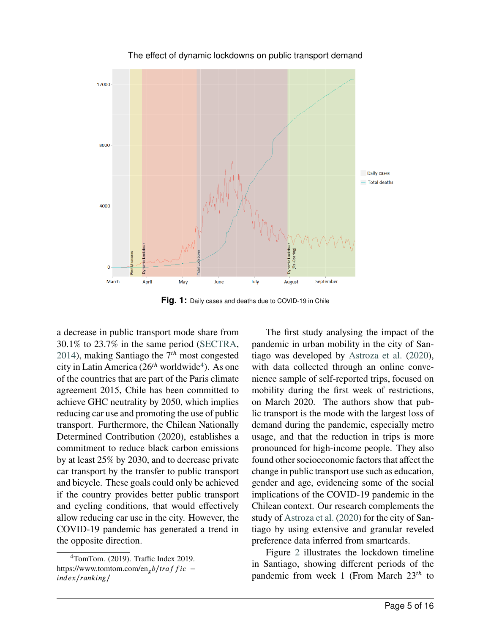<span id="page-4-0"></span>

The effect of dynamic lockdowns on public transport demand

**Fig. 1:** Daily cases and deaths due to COVID-19 in Chile

a decrease in public transport mode share from 30.1% to 23.7% in the same period [\(SECTRA,](#page-14-5) [2014\)](#page-14-5), making Santiago the 7<sup>th</sup> most congested city in Latin America (26<sup>th</sup> worldwide<sup>[4](#page-0-0)</sup>). As one of the countries that are part of the Paris climate agreement 2015, Chile has been committed to achieve GHC neutrality by 2050, which implies reducing car use and promoting the use of public transport. Furthermore, the Chilean Nationally Determined Contribution (2020), establishes a commitment to reduce black carbon emissions by at least 25% by 2030, and to decrease private car transport by the transfer to public transport and bicycle. These goals could only be achieved if the country provides better public transport and cycling conditions, that would effectively allow reducing car use in the city. However, the COVID-19 pandemic has generated a trend in the opposite direction.

The first study analysing the impact of the pandemic in urban mobility in the city of Santiago was developed by [Astroza et al.](#page-13-11) [\(2020\)](#page-13-11), with data collected through an online convenience sample of self-reported trips, focused on mobility during the first week of restrictions, on March 2020. The authors show that public transport is the mode with the largest loss of demand during the pandemic, especially metro usage, and that the reduction in trips is more pronounced for high-income people. They also found other socioeconomic factors that affect the change in public transport use such as education, gender and age, evidencing some of the social implications of the COVID-19 pandemic in the Chilean context. Our research complements the study of [Astroza et al.](#page-13-11) [\(2020\)](#page-13-11) for the city of Santiago by using extensive and granular reveled preference data inferred from smartcards.

Figure [2](#page-5-1) illustrates the lockdown timeline in Santiago, showing different periods of the pandemic from week 1 (From March 23<sup>th</sup> to

<sup>4</sup>TomTom. (2019). Traffic Index 2019. **https://www.tomtom.com/en**<sub>g</sub>*b***/***traffic* **−** *index/ranking/*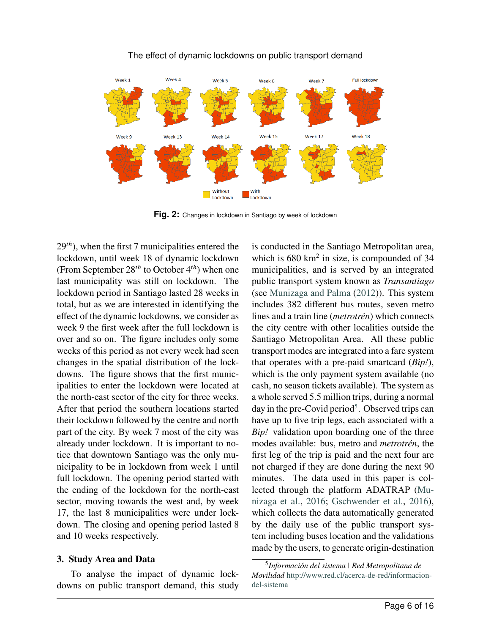<span id="page-5-1"></span>

## The effect of dynamic lockdowns on public transport demand

**Fig. 2:** Changes in lockdown in Santiago by week of lockdown

29<sup>th</sup>), when the first 7 municipalities entered the lockdown, until week 18 of dynamic lockdown (From September 28<sup>th</sup> to October 4<sup>th</sup>) when one last municipality was still on lockdown. The lockdown period in Santiago lasted 28 weeks in total, but as we are interested in identifying the effect of the dynamic lockdowns, we consider as week 9 the first week after the full lockdown is over and so on. The figure includes only some weeks of this period as not every week had seen changes in the spatial distribution of the lockdowns. The figure shows that the first municipalities to enter the lockdown were located at the north-east sector of the city for three weeks. After that period the southern locations started their lockdown followed by the centre and north part of the city. By week 7 most of the city was already under lockdown. It is important to notice that downtown Santiago was the only municipality to be in lockdown from week 1 until full lockdown. The opening period started with the ending of the lockdown for the north-east sector, moving towards the west and, by week 17, the last 8 municipalities were under lockdown. The closing and opening period lasted 8 and 10 weeks respectively.

# <span id="page-5-0"></span>**3. Study Area and Data**

To analyse the impact of dynamic lockdowns on public transport demand, this study is conducted in the Santiago Metropolitan area, which is  $680 \text{ km}^2$  in size, is compounded of 34 municipalities, and is served by an integrated public transport system known as *Transantiago* (see [Munizaga and Palma](#page-14-3) [\(2012\)](#page-14-3)). This system includes 382 different bus routes, seven metro lines and a train line (*metrotrén*) which connects the city centre with other localities outside the Santiago Metropolitan Area. All these public transport modes are integrated into a fare system that operates with a pre-paid smartcard (*Bip!*), which is the only payment system available (no cash, no season tickets available). The system as a whole served 5.5 million trips, during a normal day in the pre-Covid period<sup>[5](#page-0-0)</sup>. Observed trips can have up to five trip legs, each associated with a *Bip!* validation upon boarding one of the three modes available: bus, metro and *metrotrén*, the first leg of the trip is paid and the next four are not charged if they are done during the next 90 minutes. The data used in this paper is collected through the platform ADATRAP [\(Mu](#page-14-6)[nizaga et al.,](#page-14-6) [2016;](#page-14-6) [Gschwender et al.,](#page-13-12) [2016\)](#page-13-12), which collects the data automatically generated by the daily use of the public transport system including buses location and the validations made by the users, to generate origin-destination

<sup>5</sup> *Información del sistema | Red Metropolitana de Movilidad* [http://www.red.cl/acerca-de-red/informacion](#page-0-0)[del-sistema](#page-0-0)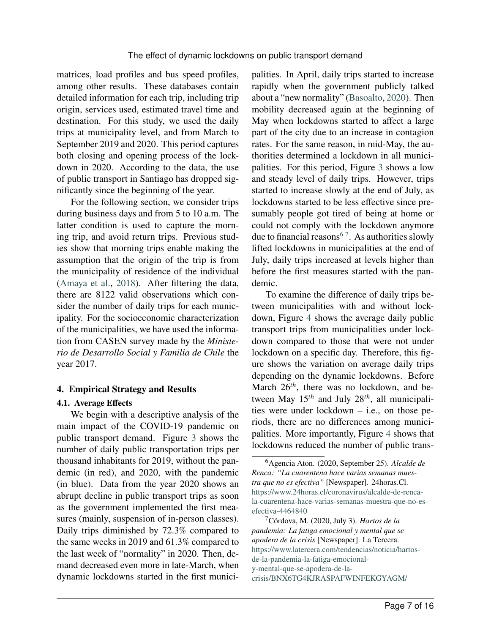matrices, load profiles and bus speed profiles, among other results. These databases contain detailed information for each trip, including trip origin, services used, estimated travel time and destination. For this study, we used the daily trips at municipality level, and from March to September 2019 and 2020. This period captures both closing and opening process of the lockdown in 2020. According to the data, the use of public transport in Santiago has dropped significantly since the beginning of the year.

For the following section, we consider trips during business days and from 5 to 10 a.m. The latter condition is used to capture the morning trip, and avoid return trips. Previous studies show that morning trips enable making the assumption that the origin of the trip is from the municipality of residence of the individual [\(Amaya et al.,](#page-13-13) [2018\)](#page-13-13). After filtering the data, there are 8122 valid observations which consider the number of daily trips for each municipality. For the socioeconomic characterization of the municipalities, we have used the information from CASEN survey made by the *Ministerio de Desarrollo Social y Familia de Chile* the year 2017.

## <span id="page-6-0"></span>**4. Empirical Strategy and Results**

### **4.1. Average Effects**

We begin with a descriptive analysis of the main impact of the COVID-19 pandemic on public transport demand. Figure [3](#page-7-0) shows the number of daily public transportation trips per thousand inhabitants for 2019, without the pandemic (in red), and 2020, with the pandemic (in blue). Data from the year 2020 shows an abrupt decline in public transport trips as soon as the government implemented the first measures (mainly, suspension of in-person classes). Daily trips diminished by 72.3% compared to the same weeks in 2019 and 61.3% compared to the last week of "normality" in 2020. Then, demand decreased even more in late-March, when dynamic lockdowns started in the first municipalities. In April, daily trips started to increase rapidly when the government publicly talked about a "new normality" [\(Basoalto,](#page-13-14) [2020\)](#page-13-14). Then mobility decreased again at the beginning of May when lockdowns started to affect a large part of the city due to an increase in contagion rates. For the same reason, in mid-May, the authorities determined a lockdown in all municipalities. For this period, Figure [3](#page-7-0) shows a low and steady level of daily trips. However, trips started to increase slowly at the end of July, as lockdowns started to be less effective since presumably people got tired of being at home or could not comply with the lockdown anymore due to financial reasons<sup>[6](#page-0-0)[7](#page-0-0)</sup>. As authorities slowly lifted lockdowns in municipalities at the end of July, daily trips increased at levels higher than before the first measures started with the pandemic.

To examine the difference of daily trips between municipalities with and without lockdown, Figure [4](#page-8-0) shows the average daily public transport trips from municipalities under lockdown compared to those that were not under lockdown on a specific day. Therefore, this figure shows the variation on average daily trips depending on the dynamic lockdowns. Before March 26<sup>th</sup>, there was no lockdown, and between May 15<sup>th</sup> and July 28<sup>th</sup>, all municipalities were under lockdown – i.e., on those periods, there are no differences among municipalities. More importantly, Figure [4](#page-8-0) shows that lockdowns reduced the number of public trans-

<sup>6</sup>Agencia Aton. (2020, September 25). *Alcalde de Renca: "La cuarentena hace varias semanas muestra que no es efectiva"* [Newspaper]. 24horas.Cl. [https://www.24horas.cl/coronavirus/alcalde-de-renca](#page-0-0)[la-cuarentena-hace-varias-semanas-muestra-que-no-es](#page-0-0)[efectiva-4464840](#page-0-0)

<sup>7</sup>Córdova, M. (2020, July 3). *Hartos de la pandemia: La fatiga emocional y mental que se apodera de la crisis* [Newspaper]. La Tercera. [https://www.latercera.com/tendencias/noticia/hartos](#page-0-0)[de-la-pandemia-la-fatiga-emocional](#page-0-0)[y-mental-que-se-apodera-de-la](#page-0-0)[crisis/BNX6TG4KJRASPAFWINFEKGYAGM/](#page-0-0)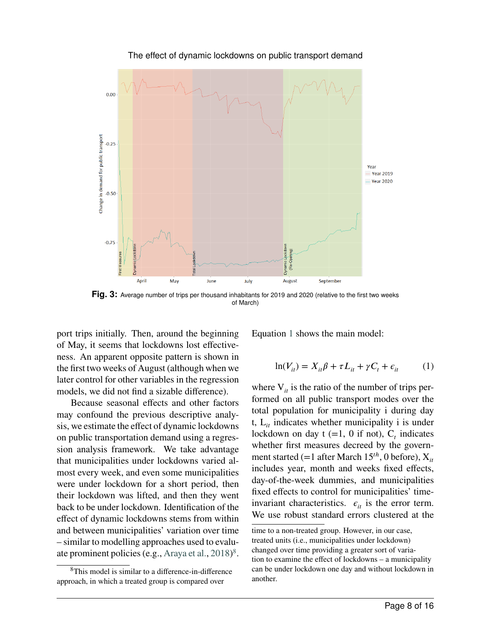<span id="page-7-0"></span>

The effect of dynamic lockdowns on public transport demand

Fig. 3: Average number of trips per thousand inhabitants for 2019 and 2020 (relative to the first two weeks of March)

port trips initially. Then, around the beginning of May, it seems that lockdowns lost effectiveness. An apparent opposite pattern is shown in the first two weeks of August (although when we later control for other variables in the regression models, we did not find a sizable difference).

Because seasonal effects and other factors may confound the previous descriptive analysis, we estimate the effect of dynamic lockdowns on public transportation demand using a regression analysis framework. We take advantage that municipalities under lockdowns varied almost every week, and even some municipalities were under lockdown for a short period, then their lockdown was lifted, and then they went back to be under lockdown. Identification of the effect of dynamic lockdowns stems from within and between municipalities' variation over time – similar to modelling approaches used to evalu-ate prominent policies (e.g., [Araya et al.,](#page-13-15) [2018\)](#page-13-15)<sup>[8](#page-0-0)</sup>.

<span id="page-7-1"></span>Equation [1](#page-7-1) shows the main model:

$$
\ln(V_{it}) = X_{it}\beta + \tau L_{it} + \gamma C_t + \epsilon_{it} \tag{1}
$$

where  $V_{it}$  is the ratio of the number of trips performed on all public transport modes over the total population for municipality i during day t,  $L_{it}$  indicates whether municipality i is under lockdown on day  $t (=1, 0 \text{ if not}), C_t$  indicates whether first measures decreed by the government started (=1 after March 15<sup>th</sup>, 0 before),  $X_{it}$ includes year, month and weeks fixed effects, day-of-the-week dummies, and municipalities fixed effects to control for municipalities' timeinvariant characteristics.  $\epsilon_{it}$  is the error term. We use robust standard errors clustered at the

<sup>8</sup>This model is similar to a difference-in-difference approach, in which a treated group is compared over

time to a non-treated group. However, in our case, treated units (i.e., municipalities under lockdown) changed over time providing a greater sort of variation to examine the effect of lockdowns – a municipality can be under lockdown one day and without lockdown in another.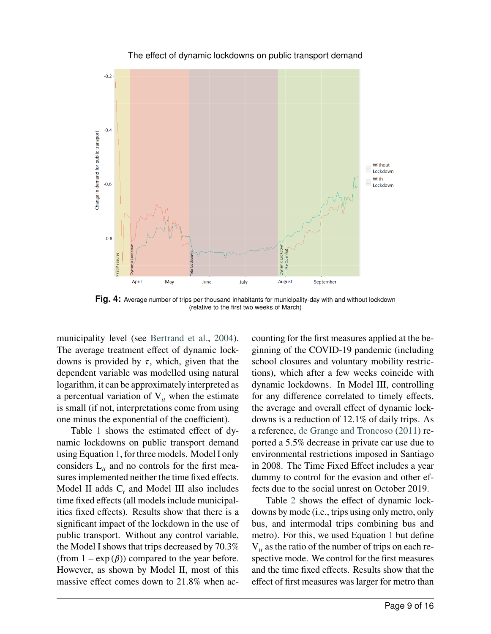<span id="page-8-0"></span>

The effect of dynamic lockdowns on public transport demand

**Fig. 4:** Average number of trips per thousand inhabitants for municipality-day with and without lockdown (relative to the first two weeks of March)

municipality level (see [Bertrand et al.,](#page-13-16) [2004\)](#page-13-16). The average treatment effect of dynamic lockdowns is provided by  $\tau$ , which, given that the dependent variable was modelled using natural logarithm, it can be approximately interpreted as a percentual variation of  $V_{it}$  when the estimate is small (if not, interpretations come from using one minus the exponential of the coefficient).

Table [1](#page-9-0) shows the estimated effect of dynamic lockdowns on public transport demand using Equation [1,](#page-7-1) for three models. Model I only considers  $L_{it}$  and no controls for the first measures implemented neither the time fixed effects. Model II adds  $C_t$  and Model III also includes time fixed effects (all models include municipalities fixed effects). Results show that there is a significant impact of the lockdown in the use of public transport. Without any control variable, the Model I shows that trips decreased by 70.3% (from  $1 - \exp(\beta)$ ) compared to the year before. However, as shown by Model II, most of this massive effect comes down to 21.8% when accounting for the first measures applied at the beginning of the COVID-19 pandemic (including school closures and voluntary mobility restrictions), which after a few weeks coincide with dynamic lockdowns. In Model III, controlling for any difference correlated to timely effects, the average and overall effect of dynamic lockdowns is a reduction of 12.1% of daily trips. As a reference, [de Grange and Troncoso](#page-13-17) [\(2011\)](#page-13-17) reported a 5.5% decrease in private car use due to environmental restrictions imposed in Santiago in 2008. The Time Fixed Effect includes a year dummy to control for the evasion and other effects due to the social unrest on October 2019.

Table [2](#page-9-1) shows the effect of dynamic lockdowns by mode (i.e., trips using only metro, only bus, and intermodal trips combining bus and metro). For this, we used Equation [1](#page-7-1) but define  $V_{it}$  as the ratio of the number of trips on each respective mode. We control for the first measures and the time fixed effects. Results show that the effect of first measures was larger for metro than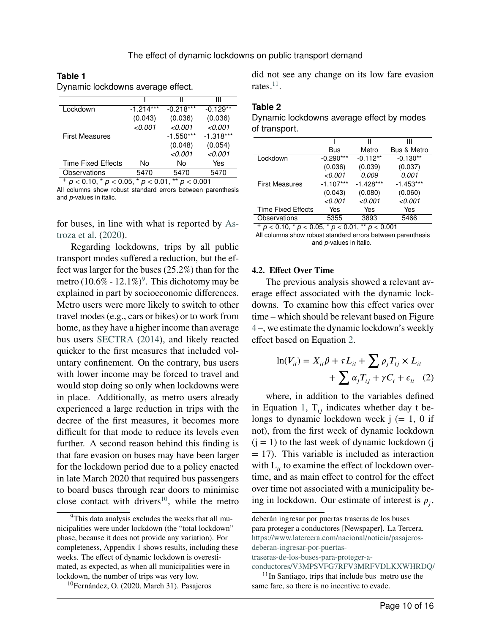#### <span id="page-9-0"></span>**Table 1**

Dynamic lockdowns average effect.

|                           |             | Ш           | Ш           |
|---------------------------|-------------|-------------|-------------|
| Lockdown                  | $-1.214***$ | $-0.218***$ | $-0.129**$  |
|                           | (0.043)     | (0.036)     | (0.036)     |
|                           | < 0.001     | < 0.001     | < 0.001     |
| <b>First Measures</b>     |             | $-1.550***$ | $-1.318***$ |
|                           |             | (0.048)     | (0.054)     |
|                           |             | < 0.001     | < 0.001     |
| <b>Time Fixed Effects</b> | No          | No          | Yes         |
| Observations              | 5470        | 5470        | 5470        |

<sup>+</sup> *p <* 0.10, \* *p <* 0.05, \* *p <* 0.01, \*\* *p <* 0.001 All columns show robust standard errors between parenthesis and *p*-values in italic.

for buses, in line with what is reported by [As](#page-13-11)[troza et al.](#page-13-11) [\(2020\)](#page-13-11).

Regarding lockdowns, trips by all public transport modes suffered a reduction, but the effect was larger for the buses (25.2%) than for the metro  $(10.6\% - 12.1\%)$ <sup>[9](#page-0-0)</sup>. This dichotomy may be explained in part by socioeconomic differences. Metro users were more likely to switch to other travel modes (e.g., cars or bikes) or to work from home, as they have a higher income than average bus users [SECTRA](#page-14-5) [\(2014\)](#page-14-5), and likely reacted quicker to the first measures that included voluntary confinement. On the contrary, bus users with lower income may be forced to travel and would stop doing so only when lockdowns were in place. Additionally, as metro users already experienced a large reduction in trips with the decree of the first measures, it becomes more difficult for that mode to reduce its levels even further. A second reason behind this finding is that fare evasion on buses may have been larger for the lockdown period due to a policy enacted in late March 2020 that required bus passengers to board buses through rear doors to minimise close contact with drivers<sup>[10](#page-0-0)</sup>, while the metro did not see any change on its low fare evasion rates. $^{11}$  $^{11}$  $^{11}$ .

### <span id="page-9-1"></span>**Table 2**

| Dynamic lockdowns average effect by modes |  |  |
|-------------------------------------------|--|--|
| of transport.                             |  |  |

|                                                                     |             | Ш           | Ш           |  |
|---------------------------------------------------------------------|-------------|-------------|-------------|--|
|                                                                     | <b>Bus</b>  | Metro       | Bus & Metro |  |
| Lockdown                                                            | $-0.290***$ | $-0.112**$  | $-0.130**$  |  |
|                                                                     | (0.036)     | (0.039)     | (0.037)     |  |
|                                                                     | < 0.001     | 0.009       | 0.001       |  |
| <b>First Measures</b>                                               | $-1.107***$ | $-1.428***$ | $-1.453***$ |  |
|                                                                     | (0.043)     | (0.080)     | (0.060)     |  |
|                                                                     | < 0.001     | < 0.001     | < 0.001     |  |
| <b>Time Fixed Effects</b>                                           | Yes         | Yes         | Yes         |  |
| Observations                                                        | 5355        | 3893        | 5466        |  |
| $+ - \cdot 0 + 0 + - \cdot 00$<br>$*** - .0.004$<br>$*$ $\sim$ 0.04 |             |             |             |  |

<sup>+</sup> *p <* 0.10, \* *p <* 0.05, \* *p <* 0.01, \*\* *p <* 0.001 All columns show robust standard errors between parenthesis and *p*-values in italic.

#### **4.2. Effect Over Time**

The previous analysis showed a relevant average effect associated with the dynamic lockdowns. To examine how this effect varies over time – which should be relevant based on Figure [4](#page-8-0) –, we estimate the dynamic lockdown's weekly effect based on Equation [2.](#page-9-2)

<span id="page-9-2"></span>
$$
\ln(V_{it}) = X_{it}\beta + \tau L_{it} + \sum \rho_j T_{tj} \times L_{it}
$$

$$
+ \sum \alpha_j T_{tj} + \gamma C_t + \epsilon_{it} \quad (2)
$$

where, in addition to the variables defined in Equation [1,](#page-7-1)  $T_{t}$  indicates whether day t belongs to dynamic lockdown week  $j (= 1, 0$  if not), from the first week of dynamic lockdown  $(i = 1)$  to the last week of dynamic lockdown (j  $=$  17). This variable is included as interaction with  $L_{it}$  to examine the effect of lockdown overtime, and as main effect to control for the effect over time not associated with a municipality being in lockdown. Our estimate of interest is  $\rho_j$ ,

[traseras-de-los-buses-para-proteger-a-](#page-0-0)

<sup>&</sup>lt;sup>9</sup>This data analysis excludes the weeks that all municipalities were under lockdown (the "total lockdown" phase, because it does not provide any variation). For completeness, Appendix [1](#page-15-0) shows results, including these weeks. The effect of dynamic lockdown is overestimated, as expected, as when all municipalities were in lockdown, the number of trips was very low.

<sup>10</sup>Fernández, O. (2020, March 31). Pasajeros

deberán ingresar por puertas traseras de los buses para proteger a conductores [Newspaper]. La Tercera. [https://www.latercera.com/nacional/noticia/pasajeros](#page-0-0)[deberan-ingresar-por-puertas-](#page-0-0)

[conductores/V3MPSVFG7RFV3MRFVDLKXWHRDQ/](#page-0-0)  $11$ In Santiago, trips that include bus metro use the same fare, so there is no incentive to evade.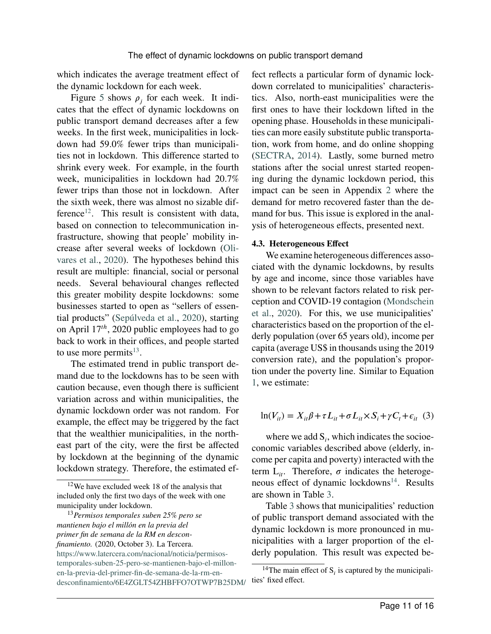which indicates the average treatment effect of the dynamic lockdown for each week.

Figure [5](#page-11-1) shows  $\rho_j$  for each week. It indicates that the effect of dynamic lockdowns on public transport demand decreases after a few weeks. In the first week, municipalities in lockdown had 59.0% fewer trips than municipalities not in lockdown. This difference started to shrink every week. For example, in the fourth week, municipalities in lockdown had 20.7% fewer trips than those not in lockdown. After the sixth week, there was almost no sizable dif-ference<sup>[12](#page-0-0)</sup>. This result is consistent with data, based on connection to telecommunication infrastructure, showing that people' mobility increase after several weeks of lockdown [\(Oli](#page-14-7)[vares et al.,](#page-14-7) [2020\)](#page-14-7). The hypotheses behind this result are multiple: financial, social or personal needs. Several behavioural changes reflected this greater mobility despite lockdowns: some businesses started to open as "sellers of essential products" [\(Sepúlveda et al.,](#page-14-8) [2020\)](#page-14-8), starting on April 17<sup>th</sup>, 2020 public employees had to go back to work in their offices, and people started to use more permits $^{13}$  $^{13}$  $^{13}$ .

The estimated trend in public transport demand due to the lockdowns has to be seen with caution because, even though there is sufficient variation across and within municipalities, the dynamic lockdown order was not random. For example, the effect may be triggered by the fact that the wealthier municipalities, in the northeast part of the city, were the first be affected by lockdown at the beginning of the dynamic lockdown strategy. Therefore, the estimated effect reflects a particular form of dynamic lockdown correlated to municipalities' characteristics. Also, north-east municipalities were the first ones to have their lockdown lifted in the opening phase. Households in these municipalities can more easily substitute public transportation, work from home, and do online shopping [\(SECTRA,](#page-14-5) [2014\)](#page-14-5). Lastly, some burned metro stations after the social unrest started reopening during the dynamic lockdown period, this impact can be seen in Appendix [2](#page-16-0) where the demand for metro recovered faster than the demand for bus. This issue is explored in the analysis of heterogeneous effects, presented next.

#### **4.3. Heterogeneous Effect**

We examine heterogeneous differences associated with the dynamic lockdowns, by results by age and income, since those variables have shown to be relevant factors related to risk perception and COVID-19 contagion [\(Mondschein](#page-13-18) [et al.,](#page-13-18) [2020\)](#page-13-18). For this, we use municipalities' characteristics based on the proportion of the elderly population (over 65 years old), income per capita (average US\$ in thousands using the 2019 conversion rate), and the population's proportion under the poverty line. Similar to Equation [1,](#page-7-1) we estimate:

$$
\ln(V_{it}) = X_{it}\beta + \tau L_{it} + \sigma L_{it} \times S_i + \gamma C_t + \epsilon_{it} \quad (3)
$$

where we add  $S_i$ , which indicates the socioeconomic variables described above (elderly, income per capita and poverty) interacted with the term  $L_{it}$ . Therefore,  $\sigma$  indicates the heteroge-neous effect of dynamic lockdowns<sup>[14](#page-0-0)</sup>. Results are shown in Table [3.](#page-12-0)

Table [3](#page-12-0) shows that municipalities' reduction of public transport demand associated with the dynamic lockdown is more pronounced in municipalities with a larger proportion of the elderly population. This result was expected be-

<sup>12</sup>We have excluded week 18 of the analysis that included only the first two days of the week with one municipality under lockdown.

<sup>13</sup>*Permisos temporales suben 25% pero se mantienen bajo el millón en la previa del primer fin de semana de la RM en desconfinamiento.* (2020, October 3). La Tercera.

[https://www.latercera.com/nacional/noticia/permisos](#page-0-0)[temporales-suben-25-pero-se-mantienen-bajo-el-millon](#page-0-0)[en-la-previa-del-primer-fin-de-semana-de-la-rm-en](#page-0-0)[desconfinamiento/6E4ZGLT54ZHBFFO7OTWP7B25DM/](#page-0-0)

<sup>&</sup>lt;sup>14</sup>The main effect of  $S_i$  is captured by the municipalities' fixed effect.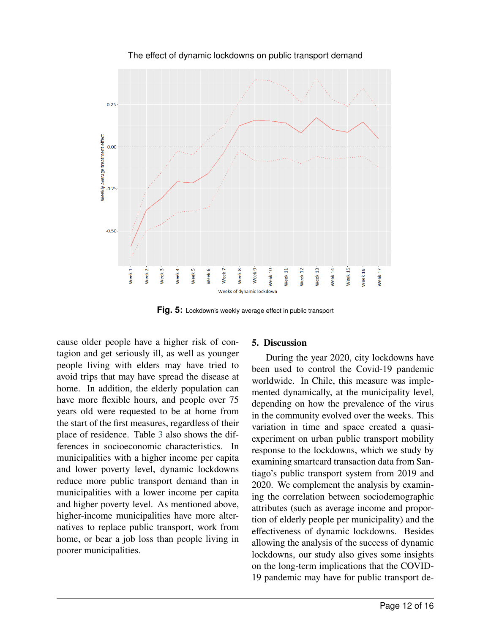<span id="page-11-1"></span>

The effect of dynamic lockdowns on public transport demand

**Fig. 5:** Lockdown's weekly average effect in public transport

cause older people have a higher risk of contagion and get seriously ill, as well as younger people living with elders may have tried to avoid trips that may have spread the disease at home. In addition, the elderly population can have more flexible hours, and people over 75 years old were requested to be at home from the start of the first measures, regardless of their place of residence. Table [3](#page-12-0) also shows the differences in socioeconomic characteristics. In municipalities with a higher income per capita and lower poverty level, dynamic lockdowns reduce more public transport demand than in municipalities with a lower income per capita and higher poverty level. As mentioned above, higher-income municipalities have more alternatives to replace public transport, work from home, or bear a job loss than people living in poorer municipalities.

### <span id="page-11-0"></span>**5. Discussion**

During the year 2020, city lockdowns have been used to control the Covid-19 pandemic worldwide. In Chile, this measure was implemented dynamically, at the municipality level, depending on how the prevalence of the virus in the community evolved over the weeks. This variation in time and space created a quasiexperiment on urban public transport mobility response to the lockdowns, which we study by examining smartcard transaction data from Santiago's public transport system from 2019 and 2020. We complement the analysis by examining the correlation between sociodemographic attributes (such as average income and proportion of elderly people per municipality) and the effectiveness of dynamic lockdowns. Besides allowing the analysis of the success of dynamic lockdowns, our study also gives some insights on the long-term implications that the COVID-19 pandemic may have for public transport de-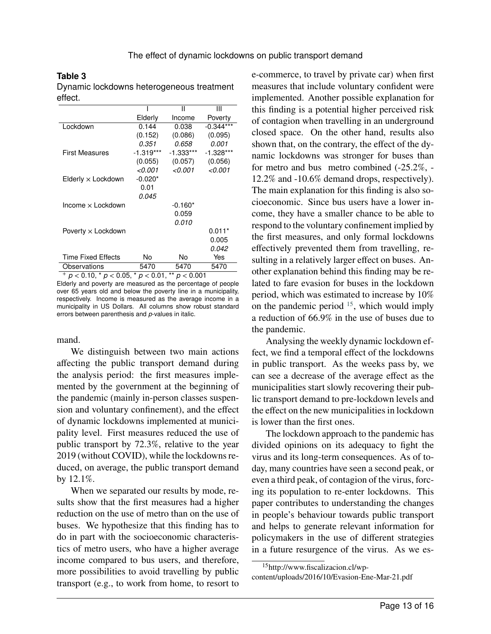### <span id="page-12-0"></span>**Table 3**

Dynamic lockdowns heterogeneous treatment effect.

|                              |             | Ш         | Ш           |
|------------------------------|-------------|-----------|-------------|
|                              | Elderly     | Income    | Poverty     |
| Lockdown                     | 0.144       | 0.038     | $-0.344***$ |
|                              | (0.152)     | (0.086)   | (0.095)     |
|                              | 0.351       | 0.658     | 0.001       |
| First Measures               | $-1.319***$ | -1.333*** | $-1.328***$ |
|                              | (0.055)     | (0.057)   | (0.056)     |
|                              | < 0.001     | 0.001- >  | < 0.001     |
| $E$ Iderly $\times$ Lockdown | $-0.020*$   |           |             |
|                              | 0.01        |           |             |
|                              | 0.045       |           |             |
| Income $\times$ Lockdown     |             | $-0.160*$ |             |
|                              |             | 0.059     |             |
|                              |             | 0.010     |             |
| Poverty $\times$ Lockdown    |             |           | $0.011*$    |
|                              |             |           | 0.005       |
|                              |             |           | 0.042       |
| Time Fixed Effects           | No          | No        | Yes         |
| Observations                 | 5470        | 5470      | 5470        |

 $+ p < 0.10, * p < 0.05, * p < 0.01, ** p < 0.001$ Elderly and poverty are measured as the percentage of people over 65 years old and below the poverty line in a municipality, respectively. Income is measured as the average income in a municipality in US Dollars. All columns show robust standard errors between parenthesis and *p*-values in italic.

mand.

We distinguish between two main actions affecting the public transport demand during the analysis period: the first measures implemented by the government at the beginning of the pandemic (mainly in-person classes suspension and voluntary confinement), and the effect of dynamic lockdowns implemented at municipality level. First measures reduced the use of public transport by 72.3%, relative to the year 2019 (without COVID), while the lockdowns reduced, on average, the public transport demand by 12.1%.

When we separated our results by mode, results show that the first measures had a higher reduction on the use of metro than on the use of buses. We hypothesize that this finding has to do in part with the socioeconomic characteristics of metro users, who have a higher average income compared to bus users, and therefore, more possibilities to avoid travelling by public transport (e.g., to work from home, to resort to e-commerce, to travel by private car) when first measures that include voluntary confident were implemented. Another possible explanation for this finding is a potential higher perceived risk of contagion when travelling in an underground closed space. On the other hand, results also shown that, on the contrary, the effect of the dynamic lockdowns was stronger for buses than for metro and bus metro combined (-25.2%, - 12.2% and -10.6% demand drops, respectively). The main explanation for this finding is also socioeconomic. Since bus users have a lower income, they have a smaller chance to be able to respond to the voluntary confinement implied by the first measures, and only formal lockdowns effectively prevented them from travelling, resulting in a relatively larger effect on buses. Another explanation behind this finding may be related to fare evasion for buses in the lockdown period, which was estimated to increase by 10% on the pandemic period  $15$ , which would imply a reduction of 66.9% in the use of buses due to the pandemic.

Analysing the weekly dynamic lockdown effect, we find a temporal effect of the lockdowns in public transport. As the weeks pass by, we can see a decrease of the average effect as the municipalities start slowly recovering their public transport demand to pre-lockdown levels and the effect on the new municipalities in lockdown is lower than the first ones.

The lockdown approach to the pandemic has divided opinions on its adequacy to fight the virus and its long-term consequences. As of today, many countries have seen a second peak, or even a third peak, of contagion of the virus, forcing its population to re-enter lockdowns. This paper contributes to understanding the changes in people's behaviour towards public transport and helps to generate relevant information for policymakers in the use of different strategies in a future resurgence of the virus. As we es-

<sup>15</sup>http://www.fiscalizacion.cl/wpcontent/uploads/2016/10/Evasion-Ene-Mar-21.pdf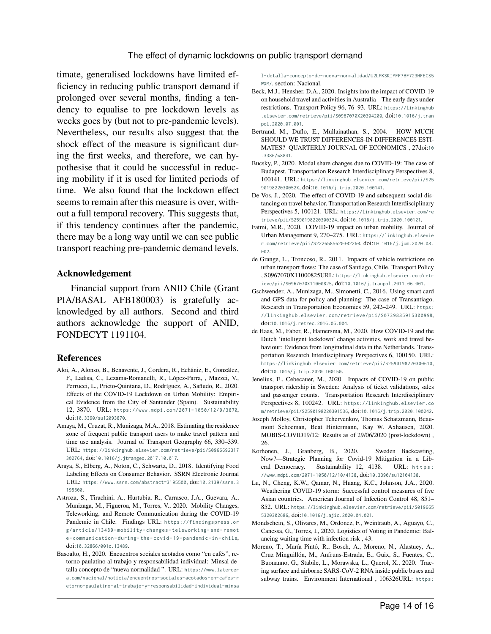timate, generalised lockdowns have limited efficiency in reducing public transport demand if prolonged over several months, finding a tendency to equalise to pre lockdown levels as weeks goes by (but not to pre-pandemic levels). Nevertheless, our results also suggest that the shock effect of the measure is significant during the first weeks, and therefore, we can hypothesise that it could be successful in reducing mobility if it is used for limited periods of time. We also found that the lockdown effect seems to remain after this measure is over, without a full temporal recovery. This suggests that, if this tendency continues after the pandemic, there may be a long way until we can see public transport reaching pre-pandemic demand levels.

#### **Acknowledgement**

Financial support from ANID Chile (Grant PIA/BASAL AFB180003) is gratefully acknowledged by all authors. Second and third authors acknowledge the support of ANID, FONDECYT 1191104.

#### **References**

- <span id="page-13-2"></span>Aloi, A., Alonso, B., Benavente, J., Cordera, R., Echániz, E., González, F., Ladisa, C., Lezama-Romanelli, R., López-Parra, , Mazzei, V., Perrucci, L., Prieto-Quintana, D., Rodríguez, A., Sañudo, R., 2020. Effects of the COVID-19 Lockdown on Urban Mobility: Empirical Evidence from the City of Santander (Spain). Sustainability 12, 3870. URL: [https://www.mdpi.com/2071- 1050/12/9/3870](https://www.mdpi.com/2071-1050/12/9/3870), doi:[10.3390/su12093870](http://dx.doi.org/10.3390/su12093870).
- <span id="page-13-13"></span>Amaya, M., Cruzat, R., Munizaga, M.A., 2018. Estimating the residence zone of frequent public transport users to make travel pattern and time use analysis. Journal of Transport Geography 66, 330–339. URL: [https://linkinghub.elsevier.com/retrieve/pii/S0966692317](https://linkinghub.elsevier.com/retrieve/pii/S0966692317302764) [302764](https://linkinghub.elsevier.com/retrieve/pii/S0966692317302764), doi:[10.1016/j.jtrangeo.2017.10.017](http://dx.doi.org/10.1016/j.jtrangeo.2017.10.017).
- <span id="page-13-15"></span>Araya, S., Elberg, A., Noton, C., Schwartz, D., 2018. Identifying Food Labeling Effects on Consumer Behavior. SSRN Electronic Journal URL: <https://www.ssrn.com/abstract=3195500>, doi:[10.2139/ssrn.3](http://dx.doi.org/10.2139/ssrn.3195500) [195500](http://dx.doi.org/10.2139/ssrn.3195500).
- <span id="page-13-11"></span>Astroza, S., Tirachini, A., Hurtubia, R., Carrasco, J.A., Guevara, A., Munizaga, M., Figueroa, M., Torres, V., 2020. Mobility Changes, Teleworking, and Remote Communication during the COVID-19 Pandemic in Chile. Findings URL: [https://findingspress.or](https://findingspress.org/article/13489-mobility-changes-teleworking-and-remote-communication-during-the-covid-19-pandemic-in-chile) [g/article/13489- mobility- changes- teleworking- and- remot](https://findingspress.org/article/13489-mobility-changes-teleworking-and-remote-communication-during-the-covid-19-pandemic-in-chile) [e- communication- during- the- covid- 19- pandemic- in- chile](https://findingspress.org/article/13489-mobility-changes-teleworking-and-remote-communication-during-the-covid-19-pandemic-in-chile), doi:[10.32866/001c.13489](http://dx.doi.org/10.32866/001c.13489).
- <span id="page-13-14"></span>Basoalto, H., 2020. Encuentros sociales acotados como "en cafés", retorno paulatino al trabajo y responsabilidad individual: Minsal detalla concepto de "nueva normalidad ". URL: [https://www.latercer](https://www.latercera.com/nacional/noticia/encuentros-sociales-acotados-en-cafes-retorno-paulatino-al-trabajo-y-responsabilidad-individual-minsal-detalla-concepto-de-nueva-normalidad/U2LPKSKIYFF7BF723HFECS5WXM/) [a.com/nacional/noticia/encuentros-sociales-acotados-en-cafes-r](https://www.latercera.com/nacional/noticia/encuentros-sociales-acotados-en-cafes-retorno-paulatino-al-trabajo-y-responsabilidad-individual-minsal-detalla-concepto-de-nueva-normalidad/U2LPKSKIYFF7BF723HFECS5WXM/) [etorno-paulatino-al-trabajo-y-responsabilidad-individual-minsa](https://www.latercera.com/nacional/noticia/encuentros-sociales-acotados-en-cafes-retorno-paulatino-al-trabajo-y-responsabilidad-individual-minsal-detalla-concepto-de-nueva-normalidad/U2LPKSKIYFF7BF723HFECS5WXM/)

[l-detalla-concepto-de-nueva-normalidad/U2LPKSKIYFF7BF723HFECS5](https://www.latercera.com/nacional/noticia/encuentros-sociales-acotados-en-cafes-retorno-paulatino-al-trabajo-y-responsabilidad-individual-minsal-detalla-concepto-de-nueva-normalidad/U2LPKSKIYFF7BF723HFECS5WXM/) [WXM/](https://www.latercera.com/nacional/noticia/encuentros-sociales-acotados-en-cafes-retorno-paulatino-al-trabajo-y-responsabilidad-individual-minsal-detalla-concepto-de-nueva-normalidad/U2LPKSKIYFF7BF723HFECS5WXM/). section: Nacional.

- <span id="page-13-3"></span>Beck, M.J., Hensher, D.A., 2020. Insights into the impact of COVID-19 on household travel and activities in Australia – The early days under restrictions. Transport Policy 96, 76–93. URL: [https://linkinghub](https://linkinghub.elsevier.com/retrieve/pii/S0967070X20304200) [.elsevier.com/retrieve/pii/S0967070X20304200](https://linkinghub.elsevier.com/retrieve/pii/S0967070X20304200), doi:[10.1016/j.tran](http://dx.doi.org/10.1016/j.tranpol.2020.07.001) [pol.2020.07.001](http://dx.doi.org/10.1016/j.tranpol.2020.07.001).
- <span id="page-13-16"></span>Bertrand, M., Duflo, E., Mullainathan, S., 2004. HOW MUCH SHOULD WE TRUST DIFFERENCES-IN-DIFFERENCES ESTI-MATES? QUARTERLY JOURNAL OF ECONOMICS , 27doi:[10](http://dx.doi.org/10.3386/w8841) [.3386/w8841](http://dx.doi.org/10.3386/w8841).
- <span id="page-13-4"></span>Bucsky, P., 2020. Modal share changes due to COVID-19: The case of Budapest. Transportation Research Interdisciplinary Perspectives 8, 100141. URL: [https://linkinghub.elsevier.com/retrieve/pii/S25](https://linkinghub.elsevier.com/retrieve/pii/S259019822030052X) [9019822030052X](https://linkinghub.elsevier.com/retrieve/pii/S259019822030052X), doi:[10.1016/j.trip.2020.100141](http://dx.doi.org/10.1016/j.trip.2020.100141).
- <span id="page-13-0"></span>De Vos, J., 2020. The effect of COVID-19 and subsequent social distancing on travel behavior. Transportation Research Interdisciplinary Perspectives 5, 100121. URL: [https://linkinghub.elsevier.com/re](https://linkinghub.elsevier.com/retrieve/pii/S2590198220300324) [trieve/pii/S2590198220300324](https://linkinghub.elsevier.com/retrieve/pii/S2590198220300324), doi:[10.1016/j.trip.2020.100121](http://dx.doi.org/10.1016/j.trip.2020.100121).
- <span id="page-13-1"></span>Fatmi, M.R., 2020. COVID-19 impact on urban mobility. Journal of Urban Management 9, 270–275. URL: [https://linkinghub.elsevie](https://linkinghub.elsevier.com/retrieve/pii/S2226585620302260) [r.com/retrieve/pii/S2226585620302260](https://linkinghub.elsevier.com/retrieve/pii/S2226585620302260), doi:[10.1016/j.jum.2020.08.](http://dx.doi.org/10.1016/j.jum.2020.08.002) [002](http://dx.doi.org/10.1016/j.jum.2020.08.002).
- <span id="page-13-17"></span>de Grange, L., Troncoso, R., 2011. Impacts of vehicle restrictions on urban transport flows: The case of Santiago, Chile. Transport Policy , S0967070X11000825URL: [https://linkinghub.elsevier.com/retr](https://linkinghub.elsevier.com/retrieve/pii/S0967070X11000825) [ieve/pii/S0967070X11000825](https://linkinghub.elsevier.com/retrieve/pii/S0967070X11000825), doi:[10.1016/j.tranpol.2011.06.001](http://dx.doi.org/10.1016/j.tranpol.2011.06.001).
- <span id="page-13-12"></span>Gschwender, A., Munizaga, M., Simonetti, C., 2016. Using smart card and GPS data for policy and planning: The case of Transantiago. Research in Transportation Economics 59, 242–249. URL: [https:](https://linkinghub.elsevier.com/retrieve/pii/S0739885915300998) [//linkinghub.elsevier.com/retrieve/pii/S0739885915300998](https://linkinghub.elsevier.com/retrieve/pii/S0739885915300998), doi:[10.1016/j.retrec.2016.05.004](http://dx.doi.org/10.1016/j.retrec.2016.05.004).
- <span id="page-13-5"></span>de Haas, M., Faber, R., Hamersma, M., 2020. How COVID-19 and the Dutch 'intelligent lockdown' change activities, work and travel behaviour: Evidence from longitudinal data in the Netherlands. Transportation Research Interdisciplinary Perspectives 6, 100150. URL: <https://linkinghub.elsevier.com/retrieve/pii/S2590198220300610>, doi:[10.1016/j.trip.2020.100150](http://dx.doi.org/10.1016/j.trip.2020.100150).
- <span id="page-13-6"></span>Jenelius, E., Cebecauer, M., 2020. Impacts of COVID-19 on public transport ridership in Sweden: Analysis of ticket validations, sales and passenger counts. Transportation Research Interdisciplinary Perspectives 8, 100242. URL: [https://linkinghub.elsevier.co](https://linkinghub.elsevier.com/retrieve/pii/S2590198220301536) [m/retrieve/pii/S2590198220301536](https://linkinghub.elsevier.com/retrieve/pii/S2590198220301536), doi:[10.1016/j.trip.2020.100242](http://dx.doi.org/10.1016/j.trip.2020.100242).
- <span id="page-13-8"></span>Joseph Molloy, Christopher Tchervenkov, Thomas Schatzmann, Beaumont Schoeman, Beat Hintermann, Kay W. Axhausen, 2020. MOBIS-COVID19/12: Results as of 29/06/2020 (post-lockdown) , 26.
- <span id="page-13-9"></span>Korhonen, J., Granberg, B., 2020. Sweden Backcasting, Now?—Strategic Planning for Covid-19 Mitigation in a Liberal Democracy. Sustainability 12, 4138. URL: https: [//www.mdpi.com/2071-1050/12/10/4138](https://www.mdpi.com/2071-1050/12/10/4138), doi:[10.3390/su12104138](http://dx.doi.org/10.3390/su12104138).
- <span id="page-13-10"></span>Lu, N., Cheng, K.W., Qamar, N., Huang, K.C., Johnson, J.A., 2020. Weathering COVID-19 storm: Successful control measures of five Asian countries. American Journal of Infection Control 48, 851– 852. URL: [https://linkinghub.elsevier.com/retrieve/pii/S019665](https://linkinghub.elsevier.com/retrieve/pii/S0196655320302686) [5320302686](https://linkinghub.elsevier.com/retrieve/pii/S0196655320302686), doi:[10.1016/j.ajic.2020.04.021](http://dx.doi.org/10.1016/j.ajic.2020.04.021).
- <span id="page-13-18"></span>Mondschein, S., Olivares, M., Ordonez, F., Weintraub, A., Aguayo, C., Canessa, G., Torres, I., 2020. Logistics of Voting in Pandemic: Balancing waiting time with infection risk , 43.
- <span id="page-13-7"></span>Moreno, T., María Pintó, R., Bosch, A., Moreno, N., Alastuey, A., Cruz Minguillón, M., Anfruns-Estrada, E., Guix, S., Fuentes, C., Buonanno, G., Stabile, L., Morawska, L., Querol, X., 2020. Tracing surface and airborne SARS-CoV-2 RNA inside public buses and subway trains. Environment International, 106326URL: [https:](https://linkinghub.elsevier.com/retrieve/pii/S0160412020322819)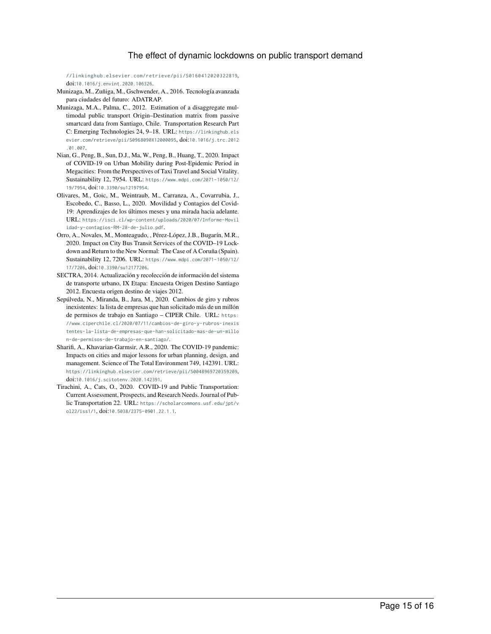#### [The effect of dynamic lockdowns on public transport demand](https://linkinghub.elsevier.com/retrieve/pii/S0160412020322819)

[//linkinghub.elsevier.com/retrieve/pii/S0160412020322819](https://linkinghub.elsevier.com/retrieve/pii/S0160412020322819), doi:[10.1016/j.envint.2020.106326](http://dx.doi.org/10.1016/j.envint.2020.106326).

- <span id="page-14-6"></span>Munizaga, M., Zuñiga, M., Gschwender, A., 2016. Tecnología avanzada para ciudades del futuro: ADATRAP.
- <span id="page-14-3"></span>Munizaga, M.A., Palma, C., 2012. Estimation of a disaggregate multimodal public transport Origin–Destination matrix from passive smartcard data from Santiago, Chile. Transportation Research Part C: Emerging Technologies 24, 9–18. URL: [https://linkinghub.els](https://linkinghub.elsevier.com/retrieve/pii/S0968090X12000095) [evier.com/retrieve/pii/S0968090X12000095](https://linkinghub.elsevier.com/retrieve/pii/S0968090X12000095), doi:[10.1016/j.trc.2012](http://dx.doi.org/10.1016/j.trc.2012.01.007) [.01.007](http://dx.doi.org/10.1016/j.trc.2012.01.007).
- <span id="page-14-1"></span>Nian, G., Peng, B., Sun, D.J., Ma, W., Peng, B., Huang, T., 2020. Impact of COVID-19 on Urban Mobility during Post-Epidemic Period in Megacities: From the Perspectives of Taxi Travel and Social Vitality. Sustainability 12, 7954. URL: [https://www.mdpi.com/2071-1050/12/](https://www.mdpi.com/2071-1050/12/19/7954) [19/7954](https://www.mdpi.com/2071-1050/12/19/7954), doi:[10.3390/su12197954](http://dx.doi.org/10.3390/su12197954).
- <span id="page-14-7"></span>Olivares, M., Goic, M., Weintraub, M., Carranza, A., Covarrubia, J., Escobedo, C., Basso, L., 2020. Movilidad y Contagios del Covid-19: Aprendizajes de los últimos meses y una mirada hacia adelante. URL: [https://isci.cl/wp-content/uploads/2020/07/Informe-Movil](https://isci.cl/wp-content/uploads/2020/07/Informe-Movilidad-y-contagios-RM-28-de-julio.pdf) [idad-y-contagios-RM-28-de-julio.pdf](https://isci.cl/wp-content/uploads/2020/07/Informe-Movilidad-y-contagios-RM-28-de-julio.pdf).
- <span id="page-14-4"></span>Orro, A., Novales, M., Monteagudo, , Pérez-López, J.B., Bugarín, M.R., 2020. Impact on City Bus Transit Services of the COVID–19 Lockdown and Return to the New Normal: The Case of A Coruña (Spain). Sustainability 12, 7206. URL: [https://www.mdpi.com/2071-1050/12/](https://www.mdpi.com/2071-1050/12/17/7206) [17/7206](https://www.mdpi.com/2071-1050/12/17/7206), doi:[10.3390/su12177206](http://dx.doi.org/10.3390/su12177206).
- <span id="page-14-5"></span>SECTRA, 2014. Actualización y recolección de información del sistema de transporte urbano, IX Etapa: Encuesta Origen Destino Santiago 2012. Encuesta origen destino de viajes 2012.
- <span id="page-14-8"></span>Sepúlveda, N., Miranda, B., Jara, M., 2020. Cambios de giro y rubros inexistentes: la lista de empresas que han solicitado más de un millón de permisos de trabajo en Santiago – CIPER Chile. URL: [https:](https://www.ciperchile.cl/2020/07/11/cambios-de-giro-y-rubros-inexistentes-la-lista-de-empresas-que-han-solicitado-mas-de-un-millon-de-permisos-de-trabajo-en-santiago/) [//www.ciperchile.cl/2020/07/11/cambios-de-giro-y-rubros-inexis](https://www.ciperchile.cl/2020/07/11/cambios-de-giro-y-rubros-inexistentes-la-lista-de-empresas-que-han-solicitado-mas-de-un-millon-de-permisos-de-trabajo-en-santiago/) [tentes-la-lista-de-empresas-que-han-solicitado-mas-de-un-millo](https://www.ciperchile.cl/2020/07/11/cambios-de-giro-y-rubros-inexistentes-la-lista-de-empresas-que-han-solicitado-mas-de-un-millon-de-permisos-de-trabajo-en-santiago/) [n-de-permisos-de-trabajo-en-santiago/](https://www.ciperchile.cl/2020/07/11/cambios-de-giro-y-rubros-inexistentes-la-lista-de-empresas-que-han-solicitado-mas-de-un-millon-de-permisos-de-trabajo-en-santiago/).
- <span id="page-14-0"></span>Sharifi, A., Khavarian-Garmsir, A.R., 2020. The COVID-19 pandemic: Impacts on cities and major lessons for urban planning, design, and management. Science of The Total Environment 749, 142391. URL: <https://linkinghub.elsevier.com/retrieve/pii/S0048969720359209>, doi:[10.1016/j.scitotenv.2020.142391](http://dx.doi.org/10.1016/j.scitotenv.2020.142391).
- <span id="page-14-2"></span>Tirachini, A., Cats, O., 2020. COVID-19 and Public Transportation: Current Assessment, Prospects, and Research Needs. Journal of Public Transportation 22. URL: [https://scholarcommons.usf.edu/jpt/v](https://scholarcommons.usf.edu/jpt/vol22/iss1/1) [ol22/iss1/1](https://scholarcommons.usf.edu/jpt/vol22/iss1/1), doi:[10.5038/2375-0901.22.1.1](http://dx.doi.org/10.5038/2375-0901.22.1.1).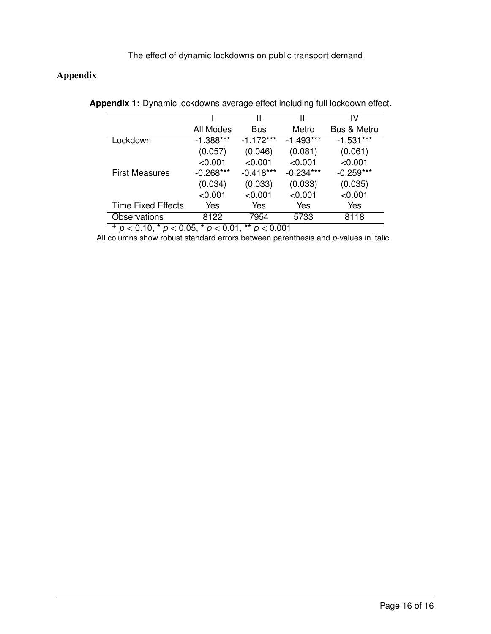# <span id="page-15-0"></span>**Appendix**

|                           |             | Ш           | Ш           | IV                     |
|---------------------------|-------------|-------------|-------------|------------------------|
|                           | All Modes   | <b>Bus</b>  | Metro       | <b>Bus &amp; Metro</b> |
| Lockdown                  | $-1.388***$ | $-1.172***$ | $-1.493***$ | $-1.531***$            |
|                           | (0.057)     | (0.046)     | (0.081)     | (0.061)                |
|                           | < 0.001     | < 0.001     | < 0.001     | < 0.001                |
| <b>First Measures</b>     | $-0.268***$ | $-0.418***$ | $-0.234***$ | $-0.259***$            |
|                           | (0.034)     | (0.033)     | (0.033)     | (0.035)                |
|                           | < 0.001     | < 0.001     | $<$ 0.001   | < 0.001                |
| <b>Time Fixed Effects</b> | Yes         | Yes         | Yes         | Yes                    |
| <b>Observations</b>       | 8122        | 7954        | 5733        | 8118                   |
|                           |             |             |             |                        |

**Appendix 1:** Dynamic lockdowns average effect including full lockdown effect.

<sup>+</sup> *p <* 0.10, \* *p <* 0.05, \* *p <* 0.01, \*\* *p <* 0.001

All columns show robust standard errors between parenthesis and *p*-values in italic.